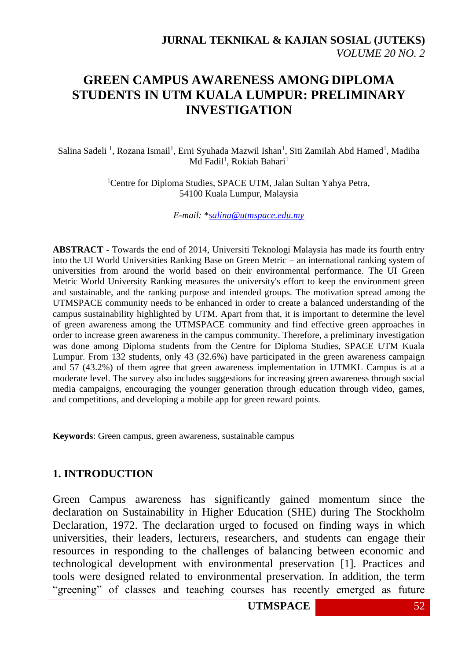# **GREEN CAMPUS AWARENESS AMONG DIPLOMA STUDENTS IN UTM KUALA LUMPUR: PRELIMINARY INVESTIGATION**

Salina Sadeli<sup>1</sup>, Rozana Ismail<sup>1</sup>, Erni Syuhada Mazwil Ishan<sup>1</sup>, Siti Zamilah Abd Hamed<sup>1</sup>, Madiha Md Fadil<sup>1</sup>, Rokiah Bahari<sup>1</sup>

> <sup>1</sup>Centre for Diploma Studies, SPACE UTM, Jalan Sultan Yahya Petra, 54100 Kuala Lumpur, Malaysia

> > *E-mail:* \**[salina@utmspace.edu.my](mailto:salina@utmspace.edu.my)*

**ABSTRACT** - Towards the end of 2014, Universiti Teknologi Malaysia has made its fourth entry into the UI World Universities Ranking Base on Green Metric – an international ranking system of universities from around the world based on their environmental performance. The UI Green Metric World University Ranking measures the university's effort to keep the environment green and sustainable, and the ranking purpose and intended groups. The motivation spread among the UTMSPACE community needs to be enhanced in order to create a balanced understanding of the campus sustainability highlighted by UTM. Apart from that, it is important to determine the level of green awareness among the UTMSPACE community and find effective green approaches in order to increase green awareness in the campus community. Therefore, a preliminary investigation was done among Diploma students from the Centre for Diploma Studies, SPACE UTM Kuala Lumpur. From 132 students, only 43 (32.6%) have participated in the green awareness campaign and 57 (43.2%) of them agree that green awareness implementation in UTMKL Campus is at a moderate level. The survey also includes suggestions for increasing green awareness through social media campaigns, encouraging the younger generation through education through video, games, and competitions, and developing a mobile app for green reward points.

**Keywords**: Green campus, green awareness, sustainable campus

### **1. INTRODUCTION**

Green Campus awareness has significantly gained momentum since the declaration on Sustainability in Higher Education (SHE) during The Stockholm Declaration, 1972. The declaration urged to focused on finding ways in which universities, their leaders, lecturers, researchers, and students can engage their resources in responding to the challenges of balancing between economic and technological development with environmental preservation [1]. Practices and tools were designed related to environmental preservation. In addition, the term "greening" of classes and teaching courses has recently emerged as future

**UTMSPACE** 52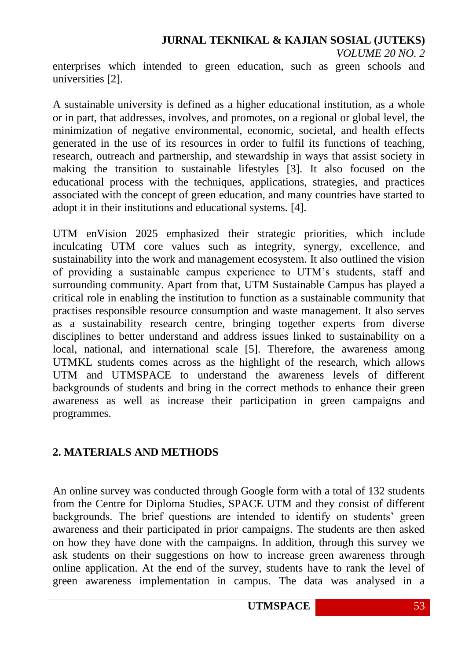enterprises which intended to green education, such as green schools and universities [2].

A sustainable university is defined as a higher educational institution, as a whole or in part, that addresses, involves, and promotes, on a regional or global level, the minimization of negative environmental, economic, societal, and health effects generated in the use of its resources in order to fulfil its functions of teaching, research, outreach and partnership, and stewardship in ways that assist society in making the transition to sustainable lifestyles [3]. It also focused on the educational process with the techniques, applications, strategies, and practices associated with the concept of green education, and many countries have started to adopt it in their institutions and educational systems. [4].

UTM enVision 2025 emphasized their strategic priorities, which include inculcating UTM core values such as integrity, synergy, excellence, and sustainability into the work and management ecosystem. It also outlined the vision of providing a sustainable campus experience to UTM's students, staff and surrounding community. Apart from that, UTM Sustainable Campus has played a critical role in enabling the institution to function as a sustainable community that practises responsible resource consumption and waste management. It also serves as a sustainability research centre, bringing together experts from diverse disciplines to better understand and address issues linked to sustainability on a local, national, and international scale [5]. Therefore, the awareness among UTMKL students comes across as the highlight of the research, which allows UTM and UTMSPACE to understand the awareness levels of different backgrounds of students and bring in the correct methods to enhance their green awareness as well as increase their participation in green campaigns and programmes.

## **2. MATERIALS AND METHODS**

An online survey was conducted through Google form with a total of 132 students from the Centre for Diploma Studies, SPACE UTM and they consist of different backgrounds. The brief questions are intended to identify on students' green awareness and their participated in prior campaigns. The students are then asked on how they have done with the campaigns. In addition, through this survey we ask students on their suggestions on how to increase green awareness through online application. At the end of the survey, students have to rank the level of green awareness implementation in campus. The data was analysed in a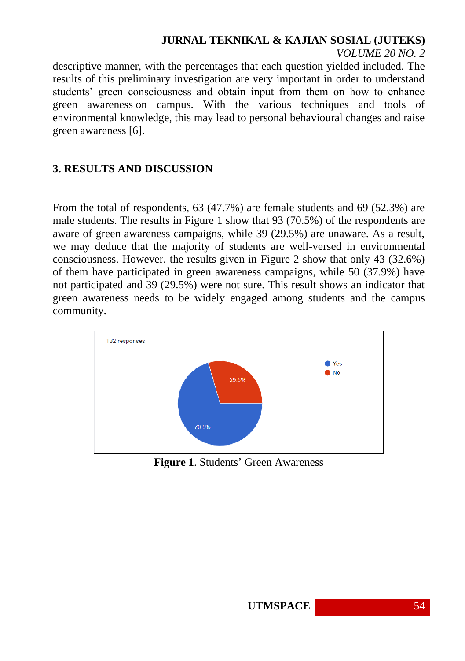# **JURNAL TEKNIKAL & KAJIAN SOSIAL (JUTEKS)**

*VOLUME 20 NO. 2*

descriptive manner, with the percentages that each question yielded included. The results of this preliminary investigation are very important in order to understand students' green consciousness and obtain input from them on how to enhance green awareness on campus. With the various techniques and tools of environmental knowledge, this may lead to personal behavioural changes and raise green awareness [6].

## **3. RESULTS AND DISCUSSION**

From the total of respondents, 63 (47.7%) are female students and 69 (52.3%) are male students. The results in Figure 1 show that 93 (70.5%) of the respondents are aware of green awareness campaigns, while 39 (29.5%) are unaware. As a result, we may deduce that the majority of students are well-versed in environmental consciousness. However, the results given in Figure 2 show that only 43 (32.6%) of them have participated in green awareness campaigns, while 50 (37.9%) have not participated and 39 (29.5%) were not sure. This result shows an indicator that green awareness needs to be widely engaged among students and the campus community.



**Figure 1**. Students' Green Awareness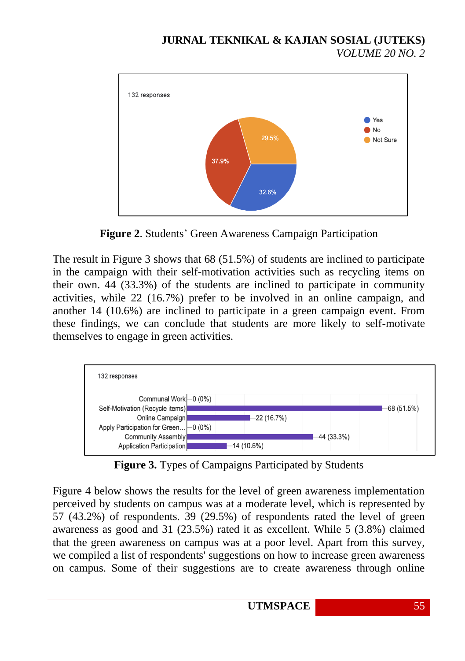

**Figure 2**. Students' Green Awareness Campaign Participation

The result in Figure 3 shows that 68 (51.5%) of students are inclined to participate in the campaign with their self-motivation activities such as recycling items on their own. 44 (33.3%) of the students are inclined to participate in community activities, while 22 (16.7%) prefer to be involved in an online campaign, and another 14 (10.6%) are inclined to participate in a green campaign event. From these findings, we can conclude that students are more likely to self-motivate themselves to engage in green activities.



**Figure 3.** Types of Campaigns Participated by Students

Figure 4 below shows the results for the level of green awareness implementation perceived by students on campus was at a moderate level, which is represented by 57 (43.2%) of respondents. 39 (29.5%) of respondents rated the level of green awareness as good and 31 (23.5%) rated it as excellent. While 5 (3.8%) claimed that the green awareness on campus was at a poor level. Apart from this survey, we compiled a list of respondents' suggestions on how to increase green awareness on campus. Some of their suggestions are to create awareness through online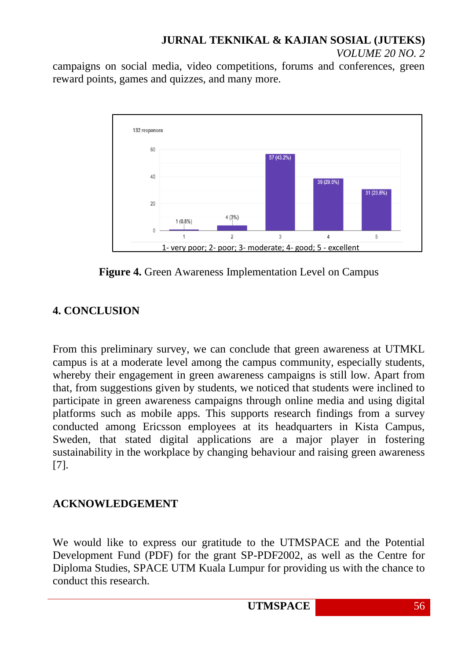#### **JURNAL TEKNIKAL & KAJIAN SOSIAL (JUTEKS)** *VOLUME 20 NO. 2*

campaigns on social media, video competitions, forums and conferences, green reward points, games and quizzes, and many more.



**Figure 4.** Green Awareness Implementation Level on Campus

# **4. CONCLUSION**

From this preliminary survey, we can conclude that green awareness at UTMKL campus is at a moderate level among the campus community, especially students, whereby their engagement in green awareness campaigns is still low. Apart from that, from suggestions given by students, we noticed that students were inclined to participate in green awareness campaigns through online media and using digital platforms such as mobile apps. This supports research findings from a survey conducted among Ericsson employees at its headquarters in Kista Campus, Sweden, that stated digital applications are a major player in fostering sustainability in the workplace by changing behaviour and raising green awareness [7].

## **ACKNOWLEDGEMENT**

We would like to express our gratitude to the UTMSPACE and the Potential Development Fund (PDF) for the grant SP-PDF2002, as well as the Centre for Diploma Studies, SPACE UTM Kuala Lumpur for providing us with the chance to conduct this research.